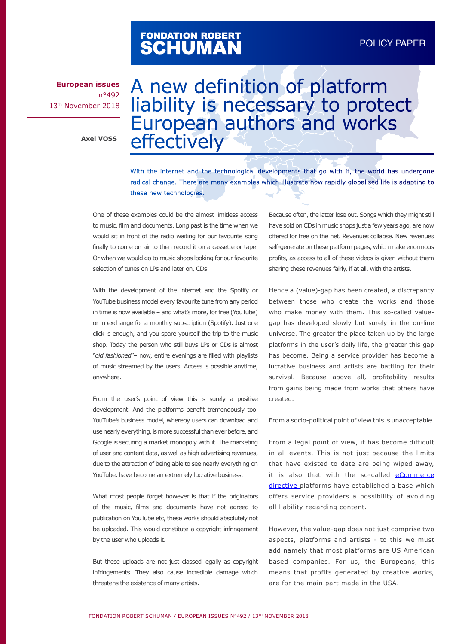# FONDATION ROBERT<br>**SCHUMAN**

**European issues** n°492 13th November 2018

**Axel VOSS**

# A new definition of platform liability is necessary to protect European authors and works effectively

With the internet and the technological developments that go with it, the world has undergone radical change. There are many examples which illustrate how rapidly globalised life is adapting to these new technologies.

One of these examples could be the almost limitless access to music, film and documents. Long past is the time when we would sit in front of the radio waiting for our favourite song finally to come on air to then record it on a cassette or tape. Or when we would go to music shops looking for our favourite selection of tunes on LPs and later on, CDs.

With the development of the internet and the Spotify or YouTube business model every favourite tune from any period in time is now available – and what's more, for free (YouTube) or in exchange for a monthly subscription (Spotify). Just one click is enough, and you spare yourself the trip to the music shop. Today the person who still buys LPs or CDs is almost "*old fashioned*"– now, entire evenings are filled with playlists of music streamed by the users. Access is possible anytime, anywhere.

From the user's point of view this is surely a positive development. And the platforms benefit tremendously too. YouTube's business model, whereby users can download and use nearly everything, is more successful than ever before, and Google is securing a market monopoly with it. The marketing of user and content data, as well as high advertising revenues, due to the attraction of being able to see nearly everything on YouTube, have become an extremely lucrative business.

What most people forget however is that if the originators of the music, films and documents have not agreed to publication on YouTube etc, these works should absolutely not be uploaded. This would constitute a copyright infringement by the user who uploads it.

But these uploads are not just classed legally as copyright infringements. They also cause incredible damage which threatens the existence of many artists.

Because often, the latter lose out. Songs which they might still have sold on CDs in music shops just a few years ago, are now offered for free on the net. Revenues collapse. New revenues self-generate on these platform pages, which make enormous profits, as access to all of these videos is given without them sharing these revenues fairly, if at all, with the artists.

Hence a (value)-gap has been created, a discrepancy between those who create the works and those who make money with them. This so-called valuegap has developed slowly but surely in the on-line universe. The greater the place taken up by the large platforms in the user's daily life, the greater this gap has become. Being a service provider has become a lucrative business and artists are battling for their survival. Because above all, profitability results from gains being made from works that others have created.

From a socio-political point of view this is unacceptable.

From a legal point of view, it has become difficult in all events. This is not just because the limits that have existed to date are being wiped away, it is also that with the so-called [eCommerce](https://eur-lex.europa.eu/legal-content/EN/TXT/PDF/?uri=CELEX:32000L0031&from=FR)  [directive](https://eur-lex.europa.eu/legal-content/EN/TXT/PDF/?uri=CELEX:32000L0031&from=FR) platforms have established a base which offers service providers a possibility of avoiding all liability regarding content.

However, the value-gap does not just comprise two aspects, platforms and artists - to this we must add namely that most platforms are US American based companies. For us, the Europeans, this means that profits generated by creative works, are for the main part made in the USA.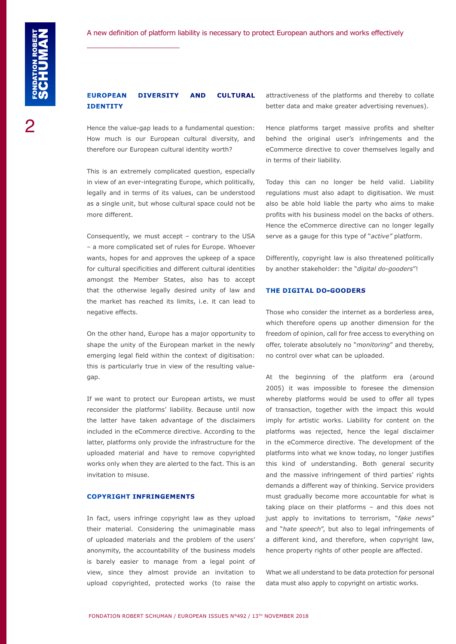## **EUROPEAN DIVERSITY AND CULTURAL IDENTITY**

Hence the value-gap leads to a fundamental question: How much is our European cultural diversity, and therefore our European cultural identity worth?

This is an extremely complicated question, especially in view of an ever-integrating Europe, which politically, legally and in terms of its values, can be understood as a single unit, but whose cultural space could not be more different.

Consequently, we must accept – contrary to the USA – a more complicated set of rules for Europe. Whoever wants, hopes for and approves the upkeep of a space for cultural specificities and different cultural identities amongst the Member States, also has to accept that the otherwise legally desired unity of law and the market has reached its limits, i.e. it can lead to negative effects.

On the other hand, Europe has a major opportunity to shape the unity of the European market in the newly emerging legal field within the context of digitisation: this is particularly true in view of the resulting valuegap.

If we want to protect our European artists, we must reconsider the platforms' liability. Because until now the latter have taken advantage of the disclaimers included in the eCommerce directive. According to the latter, platforms only provide the infrastructure for the uploaded material and have to remove copyrighted works only when they are alerted to the fact. This is an invitation to misuse.

#### **COPYRIGHT INFRINGEMENTS**

In fact, users infringe copyright law as they upload their material. Considering the unimaginable mass of uploaded materials and the problem of the users' anonymity, the accountability of the business models is barely easier to manage from a legal point of view, since they almost provide an invitation to upload copyrighted, protected works (to raise the

attractiveness of the platforms and thereby to collate better data and make greater advertising revenues).

Hence platforms target massive profits and shelter behind the original user's infringements and the eCommerce directive to cover themselves legally and in terms of their liability.

Today this can no longer be held valid. Liability regulations must also adapt to digitisation. We must also be able hold liable the party who aims to make profits with his business model on the backs of others. Hence the eCommerce directive can no longer legally serve as a gauge for this type of "*active"* platform.

Differently, copyright law is also threatened politically by another stakeholder: the "*digital do-gooders*"!

#### **THE DIGITAL DO-GOODERS**

Those who consider the internet as a borderless area, which therefore opens up another dimension for the freedom of opinion, call for free access to everything on offer, tolerate absolutely no "*monitoring*" and thereby, no control over what can be uploaded.

At the beginning of the platform era (around 2005) it was impossible to foresee the dimension whereby platforms would be used to offer all types of transaction, together with the impact this would imply for artistic works. Liability for content on the platforms was rejected, hence the legal disclaimer in the eCommerce directive. The development of the platforms into what we know today, no longer justifies this kind of understanding. Both general security and the massive infringement of third parties' rights demands a different way of thinking. Service providers must gradually become more accountable for what is taking place on their platforms – and this does not just apply to invitations to terrorism, "*fake news*" and "*hate speech*", but also to legal infringements of a different kind, and therefore, when copyright law, hence property rights of other people are affected.

What we all understand to be data protection for personal data must also apply to copyright on artistic works.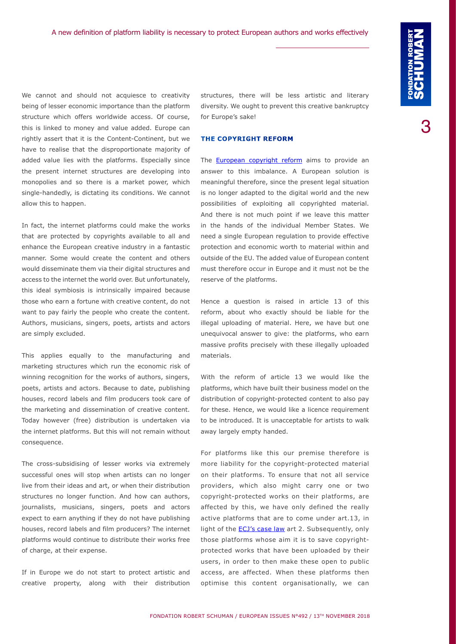We cannot and should not acquiesce to creativity being of lesser economic importance than the platform structure which offers worldwide access. Of course, this is linked to money and value added. Europe can rightly assert that it is the Content-Continent, but we have to realise that the disproportionate majority of added value lies with the platforms. Especially since the present internet structures are developing into monopolies and so there is a market power, which single-handedly, is dictating its conditions. We cannot allow this to happen.

In fact, the internet platforms could make the works that are protected by copyrights available to all and enhance the European creative industry in a fantastic manner. Some would create the content and others would disseminate them via their digital structures and access to the internet the world over. But unfortunately, this ideal symbiosis is intrinsically impaired because those who earn a fortune with creative content, do not want to pay fairly the people who create the content. Authors, musicians, singers, poets, artists and actors are simply excluded.

This applies equally to the manufacturing and marketing structures which run the economic risk of winning recognition for the works of authors, singers, poets, artists and actors. Because to date, publishing houses, record labels and film producers took care of the marketing and dissemination of creative content. Today however (free) distribution is undertaken via the internet platforms. But this will not remain without consequence.

The cross-subsidising of lesser works via extremely successful ones will stop when artists can no longer live from their ideas and art, or when their distribution structures no longer function. And how can authors, journalists, musicians, singers, poets and actors expect to earn anything if they do not have publishing houses, record labels and film producers? The internet platforms would continue to distribute their works free of charge, at their expense.

If in Europe we do not start to protect artistic and creative property, along with their distribution structures, there will be less artistic and literary diversity. We ought to prevent this creative bankruptcy for Europe's sake!

#### **THE COPYRIGHT REFORM**

The **European copyright reform** aims to provide an answer to this imbalance. A European solution is meaningful therefore, since the present legal situation is no longer adapted to the digital world and the new possibilities of exploiting all copyrighted material. And there is not much point if we leave this matter in the hands of the individual Member States. We need a single European regulation to provide effective protection and economic worth to material within and outside of the EU. The added value of European content must therefore occur in Europe and it must not be the reserve of the platforms.

Hence a question is raised in article 13 of this reform, about who exactly should be liable for the illegal uploading of material. Here, we have but one unequivocal answer to give: the platforms, who earn massive profits precisely with these illegally uploaded materials.

With the reform of article 13 we would like the platforms, which have built their business model on the distribution of copyright-protected content to also pay for these. Hence, we would like a licence requirement to be introduced. It is unacceptable for artists to walk away largely empty handed.

For platforms like this our premise therefore is more liability for the copyright-protected material on their platforms. To ensure that not all service providers, which also might carry one or two copyright-protected works on their platforms, are affected by this, we have only defined the really active platforms that are to come under art.13, in light of the **ECJ's case law** art 2. Subsequently, only those platforms whose aim it is to save copyrightprotected works that have been uploaded by their users, in order to then make these open to public access, are affected. When these platforms then optimise this content organisationally, we can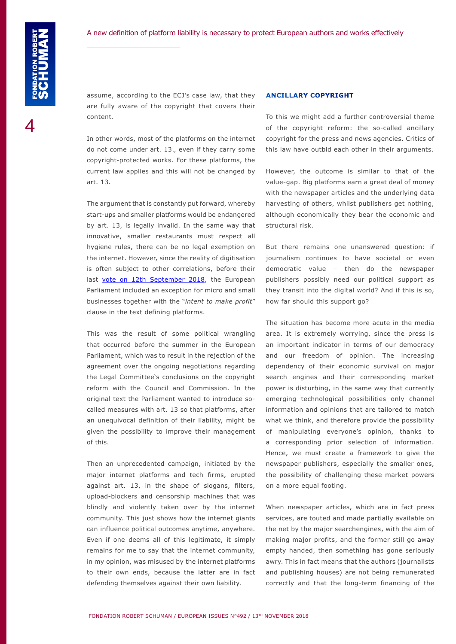assume, according to the ECJ's case law, that they are fully aware of the copyright that covers their content.

In other words, most of the platforms on the internet do not come under art. 13., even if they carry some copyright-protected works. For these platforms, the current law applies and this will not be changed by art. 13.

The argument that is constantly put forward, whereby start-ups and smaller platforms would be endangered by art. 13, is legally invalid. In the same way that innovative, smaller restaurants must respect all hygiene rules, there can be no legal exemption on the internet. However, since the reality of digitisation is often subject to other correlations, before their last [vote on 12th September 2018](http://www.europarl.europa.eu/sides/getDoc.do?pubRef=-//EP//NONSGML+TA+P8-TA-2018-0337+0+DOC+PDF+V0//EN), the European Parliament included an exception for micro and small businesses together with the "*intent to make profit*" clause in the text defining platforms.

This was the result of some political wrangling that occurred before the summer in the European Parliament, which was to result in the rejection of the agreement over the ongoing negotiations regarding the Legal Committee's conclusions on the copyright reform with the Council and Commission. In the original text the Parliament wanted to introduce socalled measures with art. 13 so that platforms, after an unequivocal definition of their liability, might be given the possibility to improve their management of this.

Then an unprecedented campaign, initiated by the major internet platforms and tech firms, erupted against art. 13, in the shape of slogans, filters, upload-blockers and censorship machines that was blindly and violently taken over by the internet community. This just shows how the internet giants can influence political outcomes anytime, anywhere. Even if one deems all of this legitimate, it simply remains for me to say that the internet community, in my opinion, was misused by the internet platforms to their own ends, because the latter are in fact defending themselves against their own liability.

#### **ANCILLARY COPYRIGHT**

To this we might add a further controversial theme of the copyright reform: the so-called ancillary copyright for the press and news agencies. Critics of this law have outbid each other in their arguments.

However, the outcome is similar to that of the value-gap. Big platforms earn a great deal of money with the newspaper articles and the underlying data harvesting of others, whilst publishers get nothing, although economically they bear the economic and structural risk.

But there remains one unanswered question: if journalism continues to have societal or even democratic value – then do the newspaper publishers possibly need our political support as they transit into the digital world? And if this is so, how far should this support go?

The situation has become more acute in the media area. It is extremely worrying, since the press is an important indicator in terms of our democracy and our freedom of opinion. The increasing dependency of their economic survival on major search engines and their corresponding market power is disturbing, in the same way that currently emerging technological possibilities only channel information and opinions that are tailored to match what we think, and therefore provide the possibility of manipulating everyone's opinion, thanks to a corresponding prior selection of information. Hence, we must create a framework to give the newspaper publishers, especially the smaller ones, the possibility of challenging these market powers on a more equal footing.

When newspaper articles, which are in fact press services, are touted and made partially available on the net by the major searchengines, with the aim of making major profits, and the former still go away empty handed, then something has gone seriously awry. This in fact means that the authors (journalists and publishing houses) are not being remunerated correctly and that the long-term financing of the